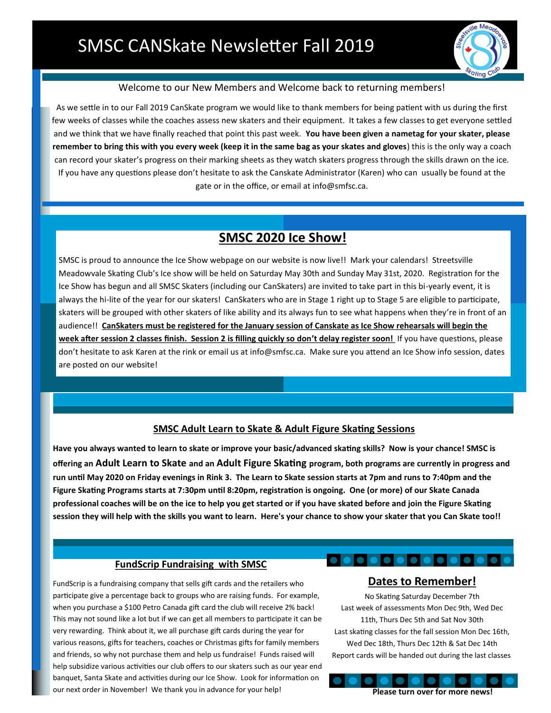

## Welcome to our New Members and Welcome back to returning members!

As we settle in to our Fall 2019 CanSkate program we would like to thank members for being patient with us during the first few weeks of classes while the coaches assess new skaters and their equipment. It takes a few classes to get everyone settled and we think that we have finally reached that point this past week. **You have been given a nametag for your skater, please remember to bring this with you every week (keep it in the same bag as your skates and gloves**) this is the only way a coach can record your skater's progress on their marking sheets as they watch skaters progress through the skills drawn on the ice. If you have any questions please don't hesitate to ask the Canskate Administrator (Karen) who can usually be found at the gate or in the office, or email at info@smfsc.ca.

# **SMSC 2020 Ice Show!**

SMSC is proud to announce the Ice Show webpage on our website is now live!! Mark your calendars! Streetsville Meadowvale Skating Club's Ice show will be held on Saturday May 30th and Sunday May 31st, 2020. Registration for the Ice Show has begun and all SMSC Skaters (including our CanSkaters) are invited to take part in this bi-yearly event, it is always the hi-lite of the year for our skaters! CanSkaters who are in Stage 1 right up to Stage 5 are eligible to participate, skaters will be grouped with other skaters of like ability and its always fun to see what happens when they're in front of an audience!! **CanSkaters must be registered for the January session of Canskate as Ice Show rehearsals will begin the week after session 2 classes finish. Session 2 is filling quickly so don't delay register soon!** If you have questions, please don't hesitate to ask Karen at the rink or email us at info@smfsc.ca. Make sure you attend an Ice Show info session, dates are posted on our website!

## **SMSC Adult Learn to Skate & Adult Figure Skating Sessions**

**Have you always wanted to learn to skate or improve your basic/advanced skating skills? Now is your chance! SMSC is offering an Adult Learn to Skate and an Adult Figure Skating program, both programs are currently in progress and run until May 2020 on Friday evenings in Rink 3. The Learn to Skate session starts at 7pm and runs to 7:40pm and the Figure Skating Programs starts at 7:30pm until 8:20pm, registration is ongoing. One (or more) of our Skate Canada professional coaches will be on the ice to help you get started or if you have skated before and join the Figure Skating session they will help with the skills you want to learn. Here's your chance to show your skater that you Can Skate too!!** 

# **FundScrip Fundraising with SMSC**

FundScrip is a fundraising company that sells gift cards and the retailers who participate give a percentage back to groups who are raising funds. For example, when you purchase a \$100 Petro Canada gift card the club will receive 2% back! This may not sound like a lot but if we can get all members to participate it can be very rewarding. Think about it, we all purchase gift cards during the year for various reasons, gifts for teachers, coaches or Christmas gifts for family members and friends, so why not purchase them and help us fundraise! Funds raised will help subsidize various activities our club offers to our skaters such as our year end banquet, Santa Skate and activities during our Ice Show. Look for information on our next order in November! We thank you in advance for your help!

# **eleiei Dates to Remember!**

No Skating Saturday December 7th Last week of assessments Mon Dec 9th, Wed Dec 11th, Thurs Dec 5th and Sat Nov 30th Last skating classes for the fall session Mon Dec 16th, Wed Dec 18th, Thurs Dec 12th & Sat Dec 14th Report cards will be handed out during the last classes